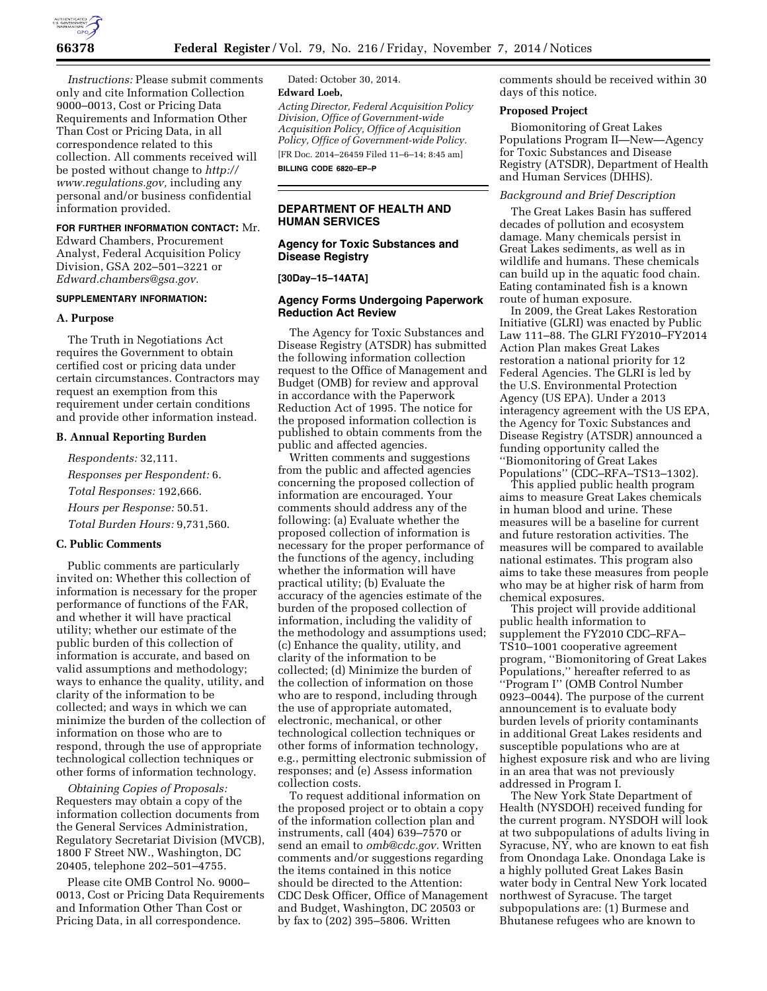

*Instructions:* Please submit comments only and cite Information Collection 9000–0013, Cost or Pricing Data Requirements and Information Other Than Cost or Pricing Data, in all correspondence related to this collection. All comments received will be posted without change to *[http://](http://www.regulations.gov) [www.regulations.gov,](http://www.regulations.gov)* including any personal and/or business confidential information provided.

# **FOR FURTHER INFORMATION CONTACT:** Mr.

Edward Chambers, Procurement Analyst, Federal Acquisition Policy Division, GSA 202–501–3221 or *[Edward.chambers@gsa.gov.](mailto:Edward.chambers@gsa.gov)* 

#### **SUPPLEMENTARY INFORMATION:**

#### **A. Purpose**

The Truth in Negotiations Act requires the Government to obtain certified cost or pricing data under certain circumstances. Contractors may request an exemption from this requirement under certain conditions and provide other information instead.

#### **B. Annual Reporting Burden**

*Respondents:* 32,111. *Responses per Respondent:* 6. *Total Responses:* 192,666. *Hours per Response:* 50.51. *Total Burden Hours:* 9,731,560.

### **C. Public Comments**

Public comments are particularly invited on: Whether this collection of information is necessary for the proper performance of functions of the FAR, and whether it will have practical utility; whether our estimate of the public burden of this collection of information is accurate, and based on valid assumptions and methodology; ways to enhance the quality, utility, and clarity of the information to be collected; and ways in which we can minimize the burden of the collection of information on those who are to respond, through the use of appropriate technological collection techniques or other forms of information technology.

*Obtaining Copies of Proposals:*  Requesters may obtain a copy of the information collection documents from the General Services Administration, Regulatory Secretariat Division (MVCB), 1800 F Street NW., Washington, DC 20405, telephone 202–501–4755.

Please cite OMB Control No. 9000– 0013, Cost or Pricing Data Requirements and Information Other Than Cost or Pricing Data, in all correspondence.

Dated: October 30, 2014. **Edward Loeb,** 

*Acting Director, Federal Acquisition Policy Division, Office of Government-wide Acquisition Policy, Office of Acquisition Policy, Office of Government-wide Policy.*  [FR Doc. 2014–26459 Filed 11–6–14; 8:45 am]

**BILLING CODE 6820–EP–P** 

## **DEPARTMENT OF HEALTH AND HUMAN SERVICES**

### **Agency for Toxic Substances and Disease Registry**

#### **[30Day–15–14ATA]**

### **Agency Forms Undergoing Paperwork Reduction Act Review**

The Agency for Toxic Substances and Disease Registry (ATSDR) has submitted the following information collection request to the Office of Management and Budget (OMB) for review and approval in accordance with the Paperwork Reduction Act of 1995. The notice for the proposed information collection is published to obtain comments from the public and affected agencies.

Written comments and suggestions from the public and affected agencies concerning the proposed collection of information are encouraged. Your comments should address any of the following: (a) Evaluate whether the proposed collection of information is necessary for the proper performance of the functions of the agency, including whether the information will have practical utility; (b) Evaluate the accuracy of the agencies estimate of the burden of the proposed collection of information, including the validity of the methodology and assumptions used; (c) Enhance the quality, utility, and clarity of the information to be collected; (d) Minimize the burden of the collection of information on those who are to respond, including through the use of appropriate automated, electronic, mechanical, or other technological collection techniques or other forms of information technology, e.g., permitting electronic submission of responses; and (e) Assess information collection costs.

To request additional information on the proposed project or to obtain a copy of the information collection plan and instruments, call (404) 639–7570 or send an email to *[omb@cdc.gov.](mailto:omb@cdc.gov)* Written comments and/or suggestions regarding the items contained in this notice should be directed to the Attention: CDC Desk Officer, Office of Management and Budget, Washington, DC 20503 or by fax to (202) 395–5806. Written

comments should be received within 30 days of this notice.

### **Proposed Project**

Biomonitoring of Great Lakes Populations Program II—New—Agency for Toxic Substances and Disease Registry (ATSDR), Department of Health and Human Services (DHHS).

#### *Background and Brief Description*

The Great Lakes Basin has suffered decades of pollution and ecosystem damage. Many chemicals persist in Great Lakes sediments, as well as in wildlife and humans. These chemicals can build up in the aquatic food chain. Eating contaminated fish is a known route of human exposure.

In 2009, the Great Lakes Restoration Initiative (GLRI) was enacted by Public Law 111–88. The GLRI FY2010–FY2014 Action Plan makes Great Lakes restoration a national priority for 12 Federal Agencies. The GLRI is led by the U.S. Environmental Protection Agency (US EPA). Under a 2013 interagency agreement with the US EPA, the Agency for Toxic Substances and Disease Registry (ATSDR) announced a funding opportunity called the ''Biomonitoring of Great Lakes Populations'' (CDC–RFA–TS13–1302).

This applied public health program aims to measure Great Lakes chemicals in human blood and urine. These measures will be a baseline for current and future restoration activities. The measures will be compared to available national estimates. This program also aims to take these measures from people who may be at higher risk of harm from chemical exposures.

This project will provide additional public health information to supplement the FY2010 CDC–RFA– TS10–1001 cooperative agreement program, ''Biomonitoring of Great Lakes Populations,'' hereafter referred to as ''Program I'' (OMB Control Number 0923–0044). The purpose of the current announcement is to evaluate body burden levels of priority contaminants in additional Great Lakes residents and susceptible populations who are at highest exposure risk and who are living in an area that was not previously addressed in Program I.

The New York State Department of Health (NYSDOH) received funding for the current program. NYSDOH will look at two subpopulations of adults living in Syracuse, NY, who are known to eat fish from Onondaga Lake. Onondaga Lake is a highly polluted Great Lakes Basin water body in Central New York located northwest of Syracuse. The target subpopulations are: (1) Burmese and Bhutanese refugees who are known to